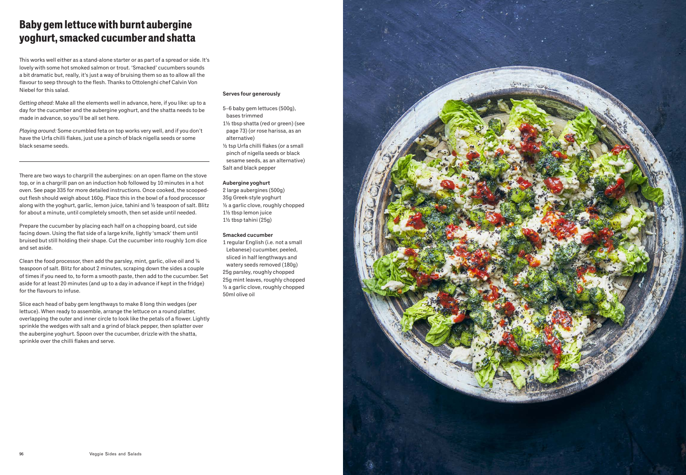## Baby gem lettuce with burnt aubergine yoghurt, smacked cucumber and shatta

This works well either as a stand-alone starter or as part of a spread or side. It's lovely with some hot smoked salmon or trout. 'Smacked' cucumbers sounds a bit dramatic but, really, it's just a way of bruising them so as to allow all the flavour to seep through to the flesh. Thanks to Ottolenghi chef Calvin Von Niebel for this salad.

*Getting ahead:* Make all the elements well in advance, here, if you like: up to a day for the cucumber and the aubergine yoghurt, and the shatta needs to be made in advance, so you'll be all set here.

*Playing around:* Some crumbled feta on top works very well, and if you don't have the Urfa chilli flakes, just use a pinch of black nigella seeds or some black sesame seeds.

There are two ways to chargrill the aubergines: on an open flame on the stove top, or in a chargrill pan on an induction hob followed by 10 minutes in a hot oven. See page 335 for more detailed instructions. Once cooked, the scoopedout flesh should weigh about 160g. Place this in the bowl of a food processor along with the yoghurt, garlic, lemon juice, tahini and ½ teaspoon of salt. Blitz for about a minute, until completely smooth, then set aside until needed.

Prepare the cucumber by placing each half on a chopping board, cut side facing down. Using the flat side of a large knife, lightly 'smack' them until bruised but still holding their shape. Cut the cucumber into roughly 1cm dice and set aside.

Clean the food processor, then add the parsley, mint, garlic, olive oil and  $\frac{1}{4}$ teaspoon of salt. Blitz for about 2 minutes, scraping down the sides a couple of times if you need to, to form a smooth paste, then add to the cucumber. Set aside for at least 20 minutes (and up to a day in advance if kept in the fridge) for the flavours to infuse.

Slice each head of baby gem lengthways to make 8 long thin wedges (per lettuce). When ready to assemble, arrange the lettuce on a round platter, overlapping the outer and inner circle to look like the petals of a flower. Lightly sprinkle the wedges with salt and a grind of black pepper, then splatter over the aubergine yoghurt. Spoon over the cucumber, drizzle with the shatta, sprinkle over the chilli flakes and serve.

#### Serves four generously

5–6 baby gem lettuces (500g), bases trimmed 1½ tbsp shatta (red or green) (see page 73) (or rose harissa, as an alternative) ½ tsp Urfa chilli flakes (or a small pinch of nigella seeds or black sesame seeds, as an alternative) Salt and black pepper

#### Aubergine yoghurt

2 large aubergines (500g) 35g Greek-style yoghurt ½ a garlic clove, roughly chopped 1½ tbsp lemon juice 1½ tbsp tahini (25g)

#### Smacked cucumber

1 regular English (i.e. not a small Lebanese) cucumber, peeled, sliced in half lengthways and watery seeds removed (180g) 25g parsley, roughly chopped 25g mint leaves, roughly chopped ½ a garlic clove, roughly chopped 50ml olive oil

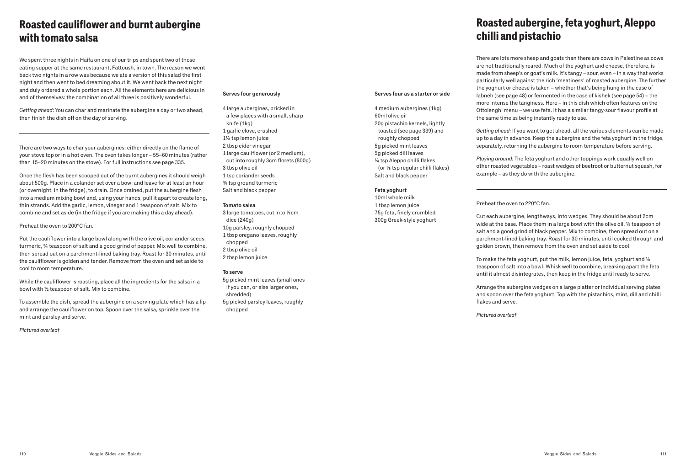## Roasted cauliflower and burnt aubergine with tomato salsa

We spent three nights in Haifa on one of our trips and spent two of those eating supper at the same restaurant, Fattoush, in town. The reason we went back two nights in a row was because we ate a version of this salad the first night and then went to bed dreaming about it. We went back the next night and duly ordered a whole portion each. All the elements here are delicious in and of themselves: the combination of all three is positively wonderful.

*Getting ahead*: You can char and marinate the aubergine a day or two ahead, then finish the dish off on the day of serving.

There are two ways to char your aubergines: either directly on the flame of your stove top or in a hot oven. The oven takes longer – 55–60 minutes (rather than 15–20 minutes on the stove). For full instructions see page 335.

Once the flesh has been scooped out of the burnt aubergines it should weigh about 500g. Place in a colander set over a bowl and leave for at least an hour (or overnight, in the fridge), to drain. Once drained, put the aubergine flesh into a medium mixing bowl and, using your hands, pull it apart to create long, thin strands. Add the garlic, lemon, vinegar and 1 teaspoon of salt. Mix to combine and set aside (in the fridge if you are making this a day ahead).

Preheat the oven to 200°C fan.

Put the cauliflower into a large bowl along with the olive oil, coriander seeds, turmeric, ¾ teaspoon of salt and a good grind of pepper. Mix well to combine, then spread out on a parchment-lined baking tray. Roast for 30 minutes, until the cauliflower is golden and tender. Remove from the oven and set aside to cool to room temperature.

While the cauliflower is roasting, place all the ingredients for the salsa in a bowl with ½ teaspoon of salt. Mix to combine.

To assemble the dish, spread the aubergine on a serving plate which has a lip and arrange the cauliflower on top. Spoon over the salsa, sprinkle over the mint and parsley and serve.

*Pictured overleaf*

#### Serves four generously

4 large aubergines, pricked in a few places with a small, sharp knife (1kg) 1 garlic clove, crushed 1½ tsp lemon juice 2 tbsp cider vinegar 1 large cauliflower (or 2 medium), cut into roughly 3cm florets (800g) 3 tbsp olive oil 1 tsp coriander seeds ¾ tsp ground turmeric Salt and black pepper

#### Tomato salsa

3 large tomatoes, cut into ½cm dice (240g) 10g parsley, roughly chopped 1 tbsp oregano leaves, roughly chopped 2 tbsp olive oil 2 tbsp lemon juice

#### To serve

5g picked mint leaves (small ones if you can, or else larger ones, shredded) 5g picked parsley leaves, roughly chopped

# Roasted aubergine, feta yoghurt, Aleppo chilli and pistachio

There are lots more sheep and goats than there are cows in Palestine as cows are not traditionally reared. Much of the yoghurt and cheese, therefore, is made from sheep's or goat's milk. It's tangy – sour, even – in a way that works particularly well against the rich 'meatiness' of roasted aubergine. The further the yoghurt or cheese is taken – whether that's being hung in the case of labneh (see page 48) or fermented in the case of kishek (see page 54) – the more intense the tanginess. Here – in this dish which often features on the Ottolenghi menu – we use feta. It has a similar tangy-sour flavour profile at the same time as being instantly ready to use.

*Getting ahead:* If you want to get ahead, all the various elements can be made up to a day in advance. Keep the aubergine and the feta yoghurt in the fridge, separately, returning the aubergine to room temperature before serving.

*Playing around:* The feta yoghurt and other toppings work equally well on other roasted vegetables – roast wedges of beetroot or butternut squash, for example – as they do with the aubergine.

#### Preheat the oven to 220°C fan.

Serves four as a starter or side

4 medium aubergines (1kg)

20g pistachio kernels, lightly toasted (see page 339) and

60ml olive oil

roughly chopped 5g picked mint leaves 5g picked dill leaves ¼ tsp Aleppo chilli flakes (or ⅛ tsp regular chilli flakes)

Salt and black pepper

Feta yoghurt 10ml whole milk 1 tbsp lemon juice 75g feta, finely crumbled 300g Greek-style yoghurt

Cut each aubergine, lengthways, into wedges. They should be about 2cm wide at the base. Place them in a large bowl with the olive oil, 1/4 teaspoon of salt and a good grind of black pepper. Mix to combine, then spread out on a parchment-lined baking tray. Roast for 30 minutes, until cooked through and golden brown, then remove from the oven and set aside to cool.

To make the feta yoghurt, put the milk, lemon juice, feta, yoghurt and ⅛ teaspoon of salt into a bowl. Whisk well to combine, breaking apart the feta until it almost disintegrates, then keep in the fridge until ready to serve.

Arrange the aubergine wedges on a large platter or individual serving plates and spoon over the feta yoghurt. Top with the pistachios, mint, dill and chilli flakes and serve.

*Pictured overleaf*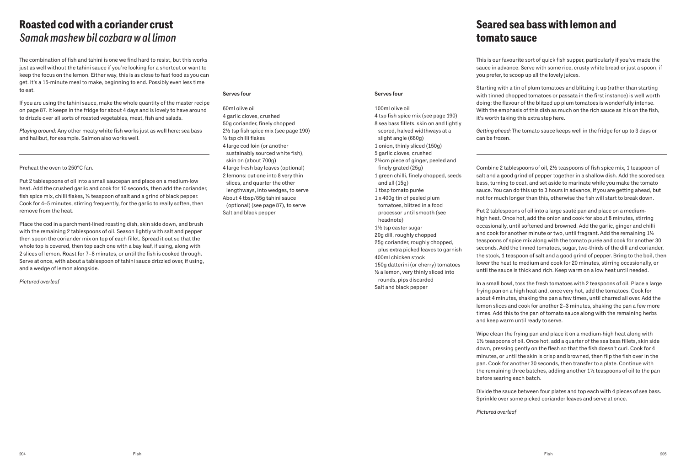### Roasted cod with a coriander crust *Samak mashew bil cozbara w al limon*

The combination of fish and tahini is one we find hard to resist, but this works just as well without the tahini sauce if you're looking for a shortcut or want to keep the focus on the lemon. Either way, this is as close to fast food as you can get. It's a 15-minute meal to make, beginning to end. Possibly even less time to eat.

If you are using the tahini sauce, make the whole quantity of the master recipe on page 87. It keeps in the fridge for about 4 days and is lovely to have around to drizzle over all sorts of roasted vegetables, meat, fish and salads.

*Playing around:* Any other meaty white fish works just as well here: sea bass and halibut, for example. Salmon also works well.

#### Preheat the oven to 250°C fan.

Put 2 tablespoons of oil into a small saucepan and place on a medium-low heat. Add the crushed garlic and cook for 10 seconds, then add the coriander, fish spice mix, chilli flakes, ¼ teaspoon of salt and a grind of black pepper. Cook for 4–5 minutes, stirring frequently, for the garlic to really soften, then remove from the heat.

Place the cod in a parchment-lined roasting dish, skin side down, and brush with the remaining 2 tablespoons of oil. Season lightly with salt and pepper then spoon the coriander mix on top of each fillet. Spread it out so that the whole top is covered, then top each one with a bay leaf, if using, along with 2 slices of lemon. Roast for 7–8 minutes, or until the fish is cooked through. Serve at once, with about a tablespoon of tahini sauce drizzled over, if using, and a wedge of lemon alongside.

*Pictured overleaf*

#### Serves four

60ml olive oil 4 garlic cloves, crushed 50g coriander, finely chopped 2½ tsp fish spice mix (see page 190) ½ tsp chilli flakes 4 large cod loin (or another sustainably sourced white fish), skin on (about 700g) 4 large fresh bay leaves (optional) 2 lemons: cut one into 8 very thin slices, and quarter the other lengthways, into wedges, to serve About 4 tbsp/65g tahini sauce (optional) (see page 87), to serve Salt and black pepper

Serves four

100ml olive oil

slight angle (680g) 1 onion, thinly sliced (150g) 5 garlic cloves, crushed

finely grated (25g)

and all (15g) 1 tbsp tomato purée 1 x 400g tin of peeled plum tomatoes, blitzed in a food processor until smooth (see

headnote) 1½ tsp caster sugar 20g dill, roughly chopped 25g coriander, roughly chopped, plus extra picked leaves to garnish

400ml chicken stock

4 tsp fish spice mix (see page 190) 8 sea bass fillets, skin on and lightly scored, halved widthways at a

2½cm piece of ginger, peeled and

1 green chilli, finely chopped, seeds

150g datterini (or cherry) tomatoes ½ a lemon, very thinly sliced into rounds, pips discarded Salt and black pepper

## Seared sea bass with lemon and tomato sauce

This is our favourite sort of quick fish supper, particularly if you've made the sauce in advance. Serve with some rice, crusty white bread or just a spoon, if you prefer, to scoop up all the lovely juices.

Starting with a tin of plum tomatoes and blitzing it up (rather than starting with tinned chopped tomatoes or passata in the first instance) is well worth doing: the flavour of the blitzed up plum tomatoes is wonderfully intense. With the emphasis of this dish as much on the rich sauce as it is on the fish, it's worth taking this extra step here.

*Getting ahead:* The tomato sauce keeps well in the fridge for up to 3 days or can be frozen.

Combine 2 tablespoons of oil, 2½ teaspoons of fish spice mix, 1 teaspoon of salt and a good grind of pepper together in a shallow dish. Add the scored sea bass, turning to coat, and set aside to marinate while you make the tomato sauce. You can do this up to 3 hours in advance, if you are getting ahead, but not for much longer than this, otherwise the fish will start to break down.

Put 2 tablespoons of oil into a large sauté pan and place on a mediumhigh heat. Once hot, add the onion and cook for about 8 minutes, stirring occasionally, until softened and browned. Add the garlic, ginger and chilli and cook for another minute or two, until fragrant. Add the remaining 1½ teaspoons of spice mix along with the tomato purée and cook for another 30 seconds. Add the tinned tomatoes, sugar, two-thirds of the dill and coriander, the stock, 1 teaspoon of salt and a good grind of pepper. Bring to the boil, then lower the heat to medium and cook for 20 minutes, stirring occasionally, or until the sauce is thick and rich. Keep warm on a low heat until needed.

In a small bowl, toss the fresh tomatoes with 2 teaspoons of oil. Place a large frying pan on a high heat and, once very hot, add the tomatoes. Cook for about 4 minutes, shaking the pan a few times, until charred all over. Add the lemon slices and cook for another 2–3 minutes, shaking the pan a few more times. Add this to the pan of tomato sauce along with the remaining herbs and keep warm until ready to serve.

Wipe clean the frying pan and place it on a medium-high heat along with 1½ teaspoons of oil. Once hot, add a quarter of the sea bass fillets, skin side down, pressing gently on the flesh so that the fish doesn't curl. Cook for 4 minutes, or until the skin is crisp and browned, then flip the fish over in the pan. Cook for another 30 seconds, then transfer to a plate. Continue with the remaining three batches, adding another 1½ teaspoons of oil to the pan before searing each batch.

Divide the sauce between four plates and top each with 4 pieces of sea bass. Sprinkle over some picked coriander leaves and serve at once.

*Pictured overleaf*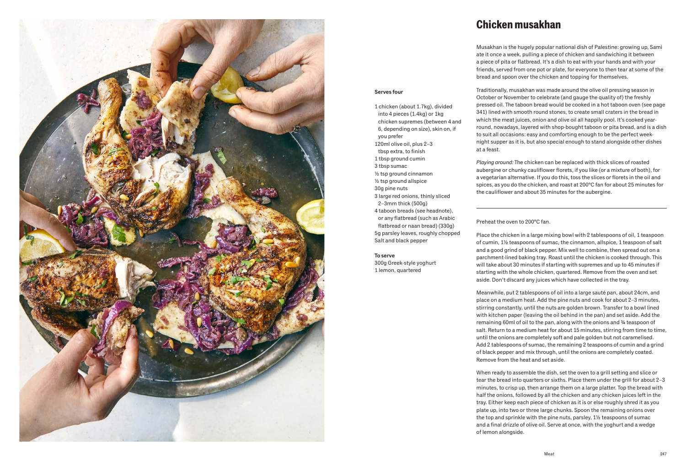

### Chicken musakhan

Serves four

you prefer

120ml olive oil, plus 2–3 tbsp extra, to finish 1 tbsp ground cumin 3 tbsp sumac

½ tsp ground cinnamon ½ tsp ground allspice 30g pine nuts

2–3mm thick (500g)

Salt and black pepper

300g Greek-style yoghurt 1 lemon, quartered

To serve

3 large red onions, thinly sliced

4 taboon breads (see headnote), or any flatbread (such as Arabic flatbread or naan bread) (330g) 5g parsley leaves, roughly chopped

1 chicken (about 1.7kg), divided into 4 pieces (1.4kg) or 1kg chicken supremes (between 4 and 6, depending on size), skin on, if

Musakhan is the hugely popular national dish of Palestine: growing up, Sami ate it once a week, pulling a piece of chicken and sandwiching it between a piece of pita or flatbread. It's a dish to eat with your hands and with your friends, served from one pot or plate, for everyone to then tear at some of the bread and spoon over the chicken and topping for themselves.

Traditionally, musakhan was made around the olive oil pressing season in October or November to celebrate (and gauge the quality of) the freshly pressed oil. The taboon bread would be cooked in a hot taboon oven (see page 341) lined with smooth round stones, to create small craters in the bread in which the meat juices, onion and olive oil all happily pool. It's cooked yearround, nowadays, layered with shop-bought taboon or pita bread, and is a dish to suit all occasions: easy and comforting enough to be the perfect weeknight supper as it is, but also special enough to stand alongside other dishes at a feast.

*Playing around:* The chicken can be replaced with thick slices of roasted aubergine or chunky cauliflower florets, if you like (or a mixture of both), for a vegetarian alternative. If you do this, toss the slices or florets in the oil and spices, as you do the chicken, and roast at 200°C fan for about 25 minutes for the cauliflower and about 35 minutes for the aubergine.

Preheat the oven to 200°C fan.

Place the chicken in a large mixing bowl with 2 tablespoons of oil, 1 teaspoon of cumin, 1½ teaspoons of sumac, the cinnamon, allspice, 1 teaspoon of salt and a good grind of black pepper. Mix well to combine, then spread out on a parchment-lined baking tray. Roast until the chicken is cooked through. This will take about 30 minutes if starting with supremes and up to 45 minutes if starting with the whole chicken, quartered. Remove from the oven and set aside. Don't discard any juices which have collected in the tray.

Meanwhile, put 2 tablespoons of oil into a large sauté pan, about 24cm, and place on a medium heat. Add the pine nuts and cook for about 2–3 minutes, stirring constantly, until the nuts are golden brown. Transfer to a bowl lined with kitchen paper (leaving the oil behind in the pan) and set aside. Add the remaining 60ml of oil to the pan, along with the onions and ¾ teaspoon of salt. Return to a medium heat for about 15 minutes, stirring from time to time, until the onions are completely soft and pale golden but not caramelised. Add 2 tablespoons of sumac, the remaining 2 teaspoons of cumin and a grind of black pepper and mix through, until the onions are completely coated. Remove from the heat and set aside.

When ready to assemble the dish, set the oven to a grill setting and slice or tear the bread into quarters or sixths. Place them under the grill for about 2–3 minutes, to crisp up, then arrange them on a large platter. Top the bread with half the onions, followed by all the chicken and any chicken juices left in the tray. Either keep each piece of chicken as it is or else roughly shred it as you plate up, into two or three large chunks. Spoon the remaining onions over the top and sprinkle with the pine nuts, parsley, 1½ teaspoons of sumac and a final drizzle of olive oil. Serve at once, with the yoghurt and a wedge of lemon alongside.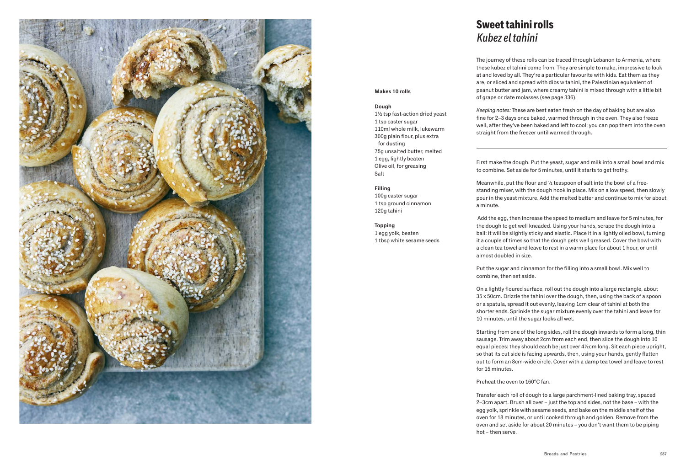

### Sweet tahini rolls *Kubez el tahini*

Makes 10 rolls

1 tsp caster sugar

100g caster sugar 1 tsp ground cinnamon

1 egg yolk, beaten

1 tbsp white sesame seeds

for dusting

1½ tsp fast-action dried yeast

110ml whole milk, lukewarm 300g plain flour, plus extra

75g unsalted butter, melted 1 egg, lightly beaten Olive oil, for greasing

Dough

Salt

Filling

120g tahini

Topping

The journey of these rolls can be traced through Lebanon to Armenia, where these kubez el tahini come from. They are simple to make, impressive to look at and loved by all. They're a particular favourite with kids. Eat them as they are, or sliced and spread with dibs w tahini, the Palestinian equivalent of peanut butter and jam, where creamy tahini is mixed through with a little bit of grape or date molasses (see page 336).

*Keeping notes:* These are best eaten fresh on the day of baking but are also fine for 2–3 days once baked, warmed through in the oven. They also freeze well, after they've been baked and left to cool: you can pop them into the oven straight from the freezer until warmed through.

First make the dough. Put the yeast, sugar and milk into a small bowl and mix to combine. Set aside for 5 minutes, until it starts to get frothy.

Meanwhile, put the flour and ½ teaspoon of salt into the bowl of a freestanding mixer, with the dough hook in place. Mix on a low speed, then slowly pour in the yeast mixture. Add the melted butter and continue to mix for about a minute.

 Add the egg, then increase the speed to medium and leave for 5 minutes, for the dough to get well kneaded. Using your hands, scrape the dough into a ball: it will be slightly sticky and elastic. Place it in a lightly oiled bowl, turning it a couple of times so that the dough gets well greased. Cover the bowl with a clean tea towel and leave to rest in a warm place for about 1 hour, or until almost doubled in size.

Put the sugar and cinnamon for the filling into a small bowl. Mix well to combine, then set aside.

On a lightly floured surface, roll out the dough into a large rectangle, about 35 x 50cm. Drizzle the tahini over the dough, then, using the back of a spoon or a spatula, spread it out evenly, leaving 1cm clear of tahini at both the shorter ends. Sprinkle the sugar mixture evenly over the tahini and leave for 10 minutes, until the sugar looks all wet.

Starting from one of the long sides, roll the dough inwards to form a long, thin sausage. Trim away about 2cm from each end, then slice the dough into 10 equal pieces: they should each be just over 4½cm long. Sit each piece upright, so that its cut side is facing upwards, then, using your hands, gently flatten out to form an 8cm-wide circle. Cover with a damp tea towel and leave to rest for 15 minutes.

Preheat the oven to 160°C fan.

Transfer each roll of dough to a large parchment-lined baking tray, spaced 2–3cm apart. Brush all over – just the top and sides, not the base – with the egg yolk, sprinkle with sesame seeds, and bake on the middle shelf of the oven for 18 minutes, or until cooked through and golden. Remove from the oven and set aside for about 20 minutes – you don't want them to be piping hot – then serve.